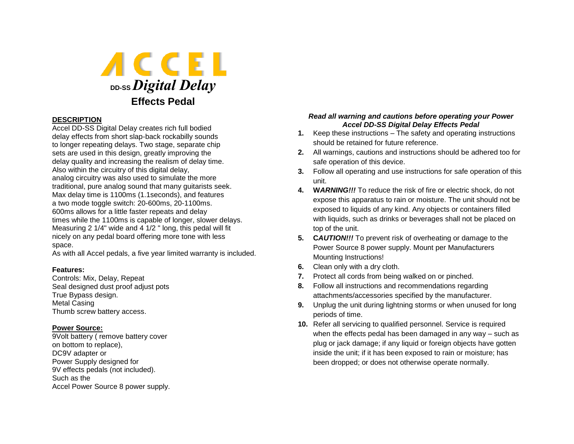

## **DESCRIPTION**

Accel DD-SS Digital Delay creates rich full bodied delay effects from short slap-back rockabilly sounds to longer repeating delays. Two stage, separate chip sets are used in this design, greatly improving the delay quality and increasing the realism of delay time. Also within the circuitry of this digital delay, analog circuitry was also used to simulate the more traditional, pure analog sound that many guitarists seek. Max delay time is 1100ms (1.1seconds), and features a two mode toggle switch: 20-600ms, 20-1100ms. 600ms allows for a little faster repeats and delay times while the 1100ms is capable of longer, slower delays. Measuring 2 1/4" wide and 4 1/2 " long, this pedal will fit nicely on any pedal board offering more tone with less space.

As with all Accel pedals, a five year limited warranty is included.

## **Features:**

Controls: Mix, Delay, Repeat Seal designed dust proof adjust pots True Bypass design. Metal Casing Thumb screw battery access.

## **Power Source:**

9Volt battery ( remove battery cover on bottom to replace), DC9V adapter or Power Supply designed for 9V effects pedals (not included). Such as the Accel Power Source 8 power supply.

## *Read all warning and cautions before operating your Power Accel DD-SS Digital Delay Effects Pedal*

- **1.** Keep these instructions The safety and operating instructions should be retained for future reference.
- **2.** All warnings, cautions and instructions should be adhered too for safe operation of this device.
- **3.** Follow all operating and use instructions for safe operation of this unit.
- **4. W***ARNING!!!* To reduce the risk of fire or electric shock, do not expose this apparatus to rain or moisture. The unit should not be exposed to liquids of any kind. Any objects or containers filled with liquids, such as drinks or beverages shall not be placed on top of the unit.
- **5. C***AUTION!!!* To prevent risk of overheating or damage to the Power Source 8 power supply. Mount per Manufacturers Mounting Instructions!
- **6.** Clean only with a dry cloth.
- **7.** Protect all cords from being walked on or pinched.
- **8.** Follow all instructions and recommendations regarding attachments/accessories specified by the manufacturer.
- **9.** Unplug the unit during lightning storms or when unused for long periods of time.
- **10.** Refer all servicing to qualified personnel. Service is required when the effects pedal has been damaged in any way – such as plug or jack damage; if any liquid or foreign objects have gotten inside the unit; if it has been exposed to rain or moisture; has been dropped; or does not otherwise operate normally.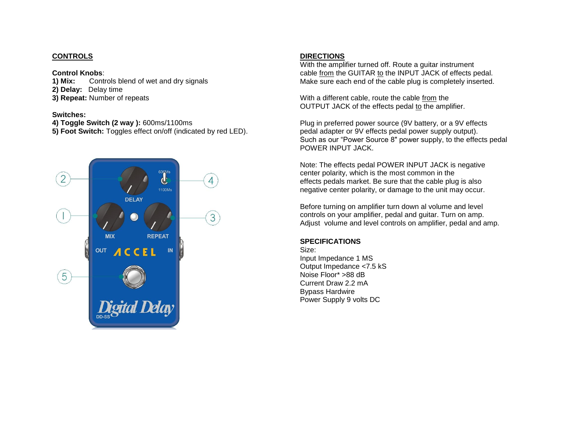## **CONTROLS**

#### **Control Knobs**:

**1) Mix:** Controls blend of wet and dry signals **2) Delay:** Delay time **3) Repeat:** Number of repeats

## **Switches:**

**4) Toggle Switch (2 way ):** 600ms/1100ms

**5) Foot Switch:** Toggles effect on/off (indicated by red LED).



# **DIRECTIONS**

With the amplifier turned off. Route a guitar instrument cable from the GUITAR to the INPUT JACK of effects pedal. Make sure each end of the cable plug is completely inserted.

With a different cable, route the cable from the OUTPUT JACK of the effects pedal to the amplifier.

Plug in preferred power source (9V battery, or a 9V effects pedal adapter or 9V effects pedal power supply output). Such as our "Power Source 8" power supply, to the effects pedal POWER INPUT JACK.

Note: The effects pedal POWER INPUT JACK is negative center polarity, which is the most common in the effects pedals market. Be sure that the cable plug is also negative center polarity, or damage to the unit may occur.

Before turning on amplifier turn down al volume and level controls on your amplifier, pedal and guitar. Turn on amp. Adjust volume and level controls on amplifier, pedal and amp.

## **SPECIFICATIONS**

Size: Input Impedance 1 MS Output Impedance <7.5 kS Noise Floor\* >88 dB Current Draw 2.2 mA Bypass Hardwire Power Supply 9 volts DC